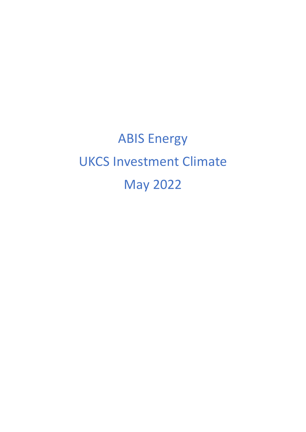ABIS Energy UKCS Investment Climate May 2022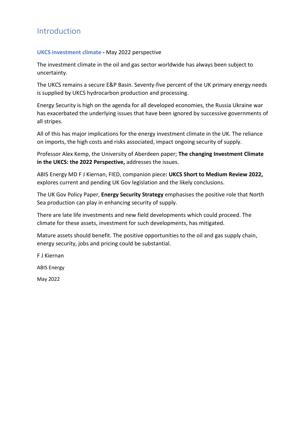# Introduction

#### **UKCS investment climate -** May 2022 perspective

The investment climate in the oil and gas sector worldwide has always been subject to uncertainty.

The UKCS remains a secure E&P Basin. Seventy-five percent of the UK primary energy needs is supplied by UKCS hydrocarbon production and processing.

Energy Security is high on the agenda for all developed economies, the Russia Ukraine war has exacerbated the underlying issues that have been ignored by successive governments of all stripes.

All of this has major implications for the energy investment climate in the UK. The reliance on imports, the high costs and risks associated, impact ongoing security of supply.

Professor Alex Kemp, the University of Aberdeen paper; **The changing Investment Climate in the UKCS: the 2022 Perspective,** addresses the issues.

ABIS Energy MD F J Kiernan, FIED, companion piece**: UKCS Short to Medium Review 2022,** explores current and pending UK Gov legislation and the likely conclusions.

The UK Gov Policy Paper, **Energy Security Strategy** emphasises the positive role that North Sea production can play in enhancing security of supply.

There are late life investments and new field developments which could proceed. The climate for these assets, investment for such developments, has mitigated.

Mature assets should benefit. The positive opportunities to the oil and gas supply chain, energy security, jobs and pricing could be substantial.

F J Kiernan

ABIS Energy

May 2022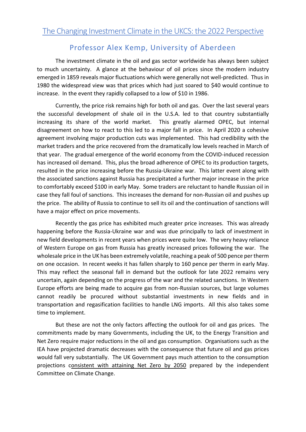# Professor Alex Kemp, University of Aberdeen

The investment climate in the oil and gas sector worldwide has always been subject to much uncertainty. A glance at the behaviour of oil prices since the modern industry emerged in 1859 reveals major fluctuations which were generally not well-predicted. Thus in 1980 the widespread view was that prices which had just soared to \$40 would continue to increase. In the event they rapidly collapsed to a low of \$10 in 1986.

Currently, the price risk remains high for both oil and gas. Over the last several years the successful development of shale oil in the U.S.A. led to that country substantially increasing its share of the world market. This greatly alarmed OPEC, but internal disagreement on how to react to this led to a major fall in price. In April 2020 a cohesive agreement involving major production cuts was implemented. This had credibility with the market traders and the price recovered from the dramatically low levels reached in March of that year. The gradual emergence of the world economy from the COVID-induced recession has increased oil demand. This, plus the broad adherence of OPEC to its production targets, resulted in the price increasing before the Russia-Ukraine war. This latter event along with the associated sanctions against Russia has precipitated a further major increase in the price to comfortably exceed \$100 in early May. Some traders are reluctant to handle Russian oil in case they fall foul of sanctions. This increases the demand for non-Russian oil and pushes up the price. The ability of Russia to continue to sell its oil and the continuation of sanctions will have a major effect on price movements.

Recently the gas price has exhibited much greater price increases. This was already happening before the Russia-Ukraine war and was due principally to lack of investment in new field developments in recent years when prices were quite low. The very heavy reliance of Western Europe on gas from Russia has greatly increased prices following the war. The wholesale price in the UK has been extremely volatile, reaching a peak of 500 pence per therm on one occasion. In recent weeks it has fallen sharply to 160 pence per therm in early May. This may reflect the seasonal fall in demand but the outlook for late 2022 remains very uncertain, again depending on the progress of the war and the related sanctions. In Western Europe efforts are being made to acquire gas from non-Russian sources, but large volumes cannot readily be procured without substantial investments in new fields and in transportation and regasification facilities to handle LNG imports. All this also takes some time to implement.

But these are not the only factors affecting the outlook for oil and gas prices. The commitments made by many Governments, including the UK, to the Energy Transition and Net Zero require major reductions in the oil and gas consumption. Organisations such as the IEA have projected dramatic decreases with the consequence that future oil and gas prices would fall very substantially. The UK Government pays much attention to the consumption projections consistent with attaining Net Zero by 2050 prepared by the independent Committee on Climate Change.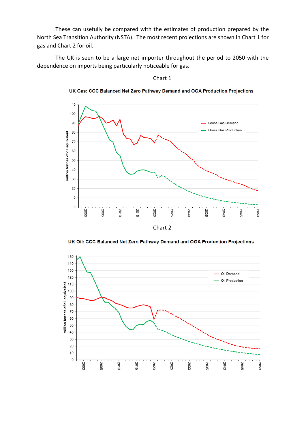These can usefully be compared with the estimates of production prepared by the North Sea Transition Authority (NSTA). The most recent projections are shown in Chart 1 for gas and Chart 2 for oil.

The UK is seen to be a large net importer throughout the period to 2050 with the dependence on imports being particularly noticeable for gas.



Chart 1

UK Gas: CCC Balanced Net Zero Pathway Demand and OGA Production Projections

UK Oil: CCC Balanced Net Zero Pathway Demand and OGA Production Projections

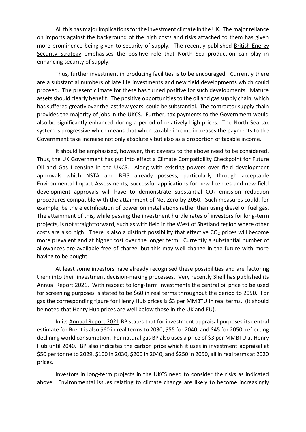All this has major implications for the investment climate in the UK. The major reliance on imports against the background of the high costs and risks attached to them has given more prominence being given to security of supply. The recently published British Energy Security Strategy emphasises the positive role that North Sea production can play in enhancing security of supply.

Thus, further investment in producing facilities is to be encouraged. Currently there are a substantial numbers of late life investments and new field developments which could proceed. The present climate for these has turned positive for such developments. Mature assets should clearly benefit. The positive opportunities to the oil and gas supply chain, which has suffered greatly over the last few years, could be substantial. The contractor supply chain provides the majority of jobs in the UKCS. Further, tax payments to the Government would also be significantly enhanced during a period of relatively high prices. The North Sea tax system is progressive which means that when taxable income increases the payments to the Government take increase not only absolutely but also as a proportion of taxable income.

It should be emphasised, however, that caveats to the above need to be considered. Thus, the UK Government has put into effect a Climate Compatibility Checkpoint for Future Oil and Gas Licensing in the UKCS. Along with existing powers over field development approvals which NSTA and BEIS already possess, particularly through acceptable Environmental Impact Assessments, successful applications for new licences and new field development approvals will have to demonstrate substantial  $CO<sub>2</sub>$  emission reduction procedures compatible with the attainment of Net Zero by 2050. Such measures could, for example, be the electrification of power on installations rather than using diesel or fuel gas. The attainment of this, while passing the investment hurdle rates of investors for long-term projects, is not straightforward, such as with field in the West of Shetland region where other costs are also high. There is also a distinct possibility that effective  $CO<sub>2</sub>$  prices will become more prevalent and at higher cost over the longer term. Currently a substantial number of allowances are available free of charge, but this may well change in the future with more having to be bought.

At least some investors have already recognised these possibilities and are factoring them into their investment decision-making processes. Very recently Shell has published its Annual Report 2021. With respect to long-term investments the central oil price to be used for screening purposes is stated to be \$60 in real terms throughout the period to 2050. For gas the corresponding figure for Henry Hub prices is \$3 per MMBTU in real terms. (It should be noted that Henry Hub prices are well below those in the UK and EU).

In its Annual Report 2021 BP states that for investment appraisal purposes its central estimate for Brent is also \$60 in real terms to 2030, \$55 for 2040, and \$45 for 2050, reflecting declining world consumption. For natural gas BP also uses a price of \$3 per MMBTU at Henry Hub until 2040. BP also indicates the carbon price which it uses in investment appraisal at \$50 per tonne to 2029, \$100 in 2030, \$200 in 2040, and \$250 in 2050, all in real terms at 2020 prices.

Investors in long-term projects in the UKCS need to consider the risks as indicated above. Environmental issues relating to climate change are likely to become increasingly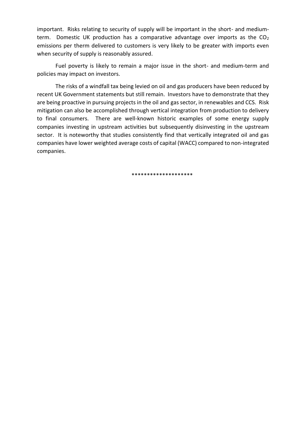important. Risks relating to security of supply will be important in the short- and mediumterm. Domestic UK production has a comparative advantage over imports as the  $CO<sub>2</sub>$ emissions per therm delivered to customers is very likely to be greater with imports even when security of supply is reasonably assured.

Fuel poverty is likely to remain a major issue in the short- and medium-term and policies may impact on investors.

The risks of a windfall tax being levied on oil and gas producers have been reduced by recent UK Government statements but still remain. Investors have to demonstrate that they are being proactive in pursuing projects in the oil and gas sector, in renewables and CCS. Risk mitigation can also be accomplished through vertical integration from production to delivery to final consumers. There are well-known historic examples of some energy supply companies investing in upstream activities but subsequently disinvesting in the upstream sector. It is noteworthy that studies consistently find that vertically integrated oil and gas companies have lower weighted average costs of capital (WACC) compared to non-integrated companies.

\*\*\*\*\*\*\*\*\*\*\*\*\*\*\*\*\*\*\*\*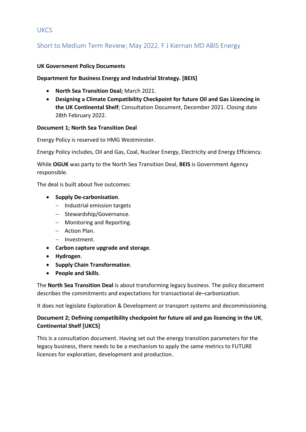## **UKCS**

## Short to Medium Term Review; May 2022. F J Kiernan MD ABIS Energy

#### **UK Government Policy Documents**

#### **Department for Business Energy and Industrial Strategy. [BEIS]**

- **North Sea Transition Deal;** March 2021.
- **Designing a Climate Compatibility Checkpoint for future Oil and Gas Licencing in the UK Continental Shelf**; Consultation Document, December 2021. Closing date 28th February 2022.

#### **Document 1; North Sea Transition Deal**

Energy Policy is reserved to HMG Westminster.

Energy Policy includes, Oil and Gas, Coal, Nuclear Energy, Electricity and Energy Efficiency.

While **OGUK** was party to the North Sea Transition Deal, **BEIS** is Government Agency responsible.

The deal is built about five outcomes:

- **Supply De-carbonisation**.
	- − Industrial emission targets
	- − Stewardship/Governance.
	- − Monitoring and Reporting.
	- − Action Plan.
	- − Investment.
- **Carbon capture upgrade and storage**.
- **Hydrogen**.
- **Supply Chain Transformation**.
- **People and Skills**.

The **North Sea Transition Deal** is about transforming legacy business. The policy document describes the commitments and expectations for transactional de–carbonization.

It does not legislate Exploration & Development or transport systems and decommissioning.

## **Document 2; Defining compatibility checkpoint for future oil and gas licencing in the UK**, **Continental Shelf [UKCS]**

This is a consultation document. Having set out the energy transition parameters for the legacy business, there needs to be a mechanism to apply the same metrics to FUTURE licences for exploration, development and production.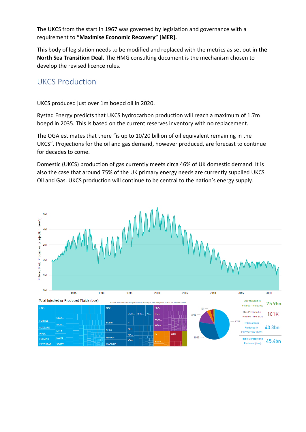The UKCS from the start in 1967 was governed by legislation and governance with a requirement to **"Maximise Economic Recovery" [MER].**

This body of legislation needs to be modified and replaced with the metrics as set out in **the North Sea Transition Deal.** The HMG consulting document is the mechanism chosen to develop the revised licence rules.

# UKCS Production

UKCS produced just over 1m boepd oil in 2020.

Rystad Energy predicts that UKCS hydrocarbon production will reach a maximum of 1.7m boepd in 2035. This Is based on the current reserves inventory with no replacement.

The OGA estimates that there "is up to 10/20 billion of oil equivalent remaining in the UKCS". Projections for the oil and gas demand, however produced, are forecast to continue for decades to come.

Domestic (UKCS) production of gas currently meets circa 46% of UK domestic demand. It is also the case that around 75% of the UK primary energy needs are currently supplied UKCS Oil and Gas. UKCS production will continue to be central to the nation's energy supply.

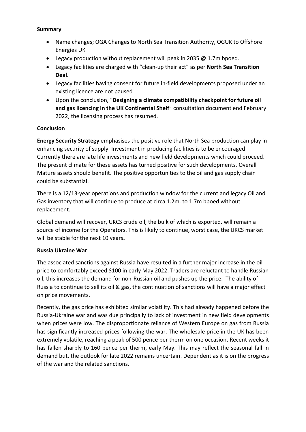#### **Summary**

- Name changes; OGA Changes to North Sea Transition Authority, OGUK to Offshore Energies UK
- Legacy production without replacement will peak in 2035 @ 1.7m bpoed.
- Legacy facilities are charged with "clean-up their act" as per **North Sea Transition Deal.**
- Legacy facilities having consent for future in-field developments proposed under an existing licence are not paused
- Upon the conclusion, "**Designing a climate compatibility checkpoint for future oil and gas licencing in the UK Continental Shelf**" consultation document end February 2022, the licensing process has resumed.

### **Conclusion**

**Energy Security Strategy** emphasises the positive role that North Sea production can play in enhancing security of supply. Investment in producing facilities is to be encouraged. Currently there are late life investments and new field developments which could proceed. The present climate for these assets has turned positive for such developments. Overall Mature assets should benefit. The positive opportunities to the oil and gas supply chain could be substantial.

There is a 12/13-year operations and production window for the current and legacy Oil and Gas inventory that will continue to produce at circa 1.2m. to 1.7m bpoed without replacement.

Global demand will recover, UKCS crude oil, the bulk of which is exported, will remain a source of income for the Operators. This is likely to continue, worst case, the UKCS market will be stable for the next 10 years**.**

### **Russia Ukraine War**

The associated sanctions against Russia have resulted in a further major increase in the oil price to comfortably exceed \$100 in early May 2022. Traders are reluctant to handle Russian oil, this increases the demand for non-Russian oil and pushes up the price. The ability of Russia to continue to sell its oil & gas, the continuation of sanctions will have a major effect on price movements.

Recently, the gas price has exhibited similar volatility. This had already happened before the Russia-Ukraine war and was due principally to lack of investment in new field developments when prices were low. The disproportionate reliance of Western Europe on gas from Russia has significantly increased prices following the war. The wholesale price in the UK has been extremely volatile, reaching a peak of 500 pence per therm on one occasion. Recent weeks it has fallen sharply to 160 pence per therm, early May. This may reflect the seasonal fall in demand but, the outlook for late 2022 remains uncertain. Dependent as it is on the progress of the war and the related sanctions.